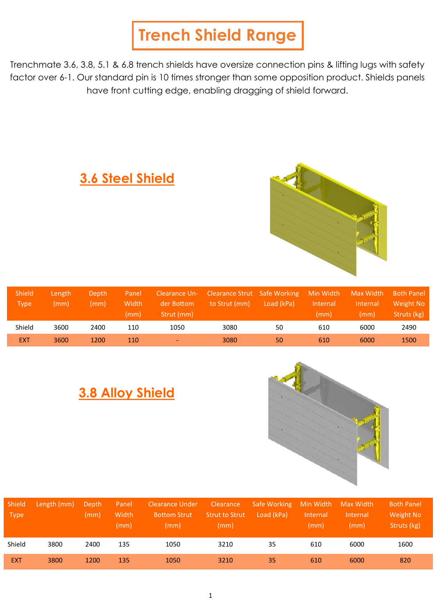# **Trench Shield Range**

Trenchmate 3.6, 3.8, 5.1 & 6.8 trench shields have oversize connection pins & lifting lugs with safety factor over 6-1. Our standard pin is 10 times stronger than some opposition product. Shields panels have front cutting edge, enabling dragging of shield forward.



### **3.6 Steel Shield**

| <b>Shield</b><br><b>Type</b> | Length<br>(mm) | Depth.<br>(mm) | Panel<br>Width<br>(mm) | Clearance Un-<br>der Bottom<br>Strut (mm) | Clearance Strut Safe Working<br>to Strut (mm) | Load (kPa) | Min Width<br>Internal<br>(mm) | Max Width<br>Internal<br>(mm) | <b>Both Panel</b><br>Weight No<br>Struts (kg) |
|------------------------------|----------------|----------------|------------------------|-------------------------------------------|-----------------------------------------------|------------|-------------------------------|-------------------------------|-----------------------------------------------|
| Shield                       | 3600           | 2400           | 110                    | 1050                                      | 3080                                          | 50         | 610                           | 6000                          | 2490                                          |
| <b>EXT</b>                   | 3600           | 1200           | 110                    | $\overline{\phantom{0}}$                  | 3080                                          | 50         | 610                           | 6000                          | 1500                                          |

## **3.8 Alloy Shield**



| <b>Shield</b><br><b>Type</b> | Length (mm) | Depth<br>(mm) | Panel<br>Width<br>(mm) | <b>Clearance Under</b><br><b>Bottom Strut</b><br>(mm) | Clearance<br><b>Strut to Strut</b><br>(mm) | Safe Working<br>Load (kPa) | Min Width<br>Internal<br>(mm) | Max Width<br>Internal<br>(mm) | <b>Both Panel</b><br>Weight No<br>Struts (kg) |
|------------------------------|-------------|---------------|------------------------|-------------------------------------------------------|--------------------------------------------|----------------------------|-------------------------------|-------------------------------|-----------------------------------------------|
| Shield                       | 3800        | 2400          | 135                    | 1050                                                  | 3210                                       | 35                         | 610                           | 6000                          | 1600                                          |
| <b>EXT</b>                   | 3800        | 1200          | 135                    | 1050                                                  | 3210                                       | 35                         | 610                           | 6000                          | 820                                           |